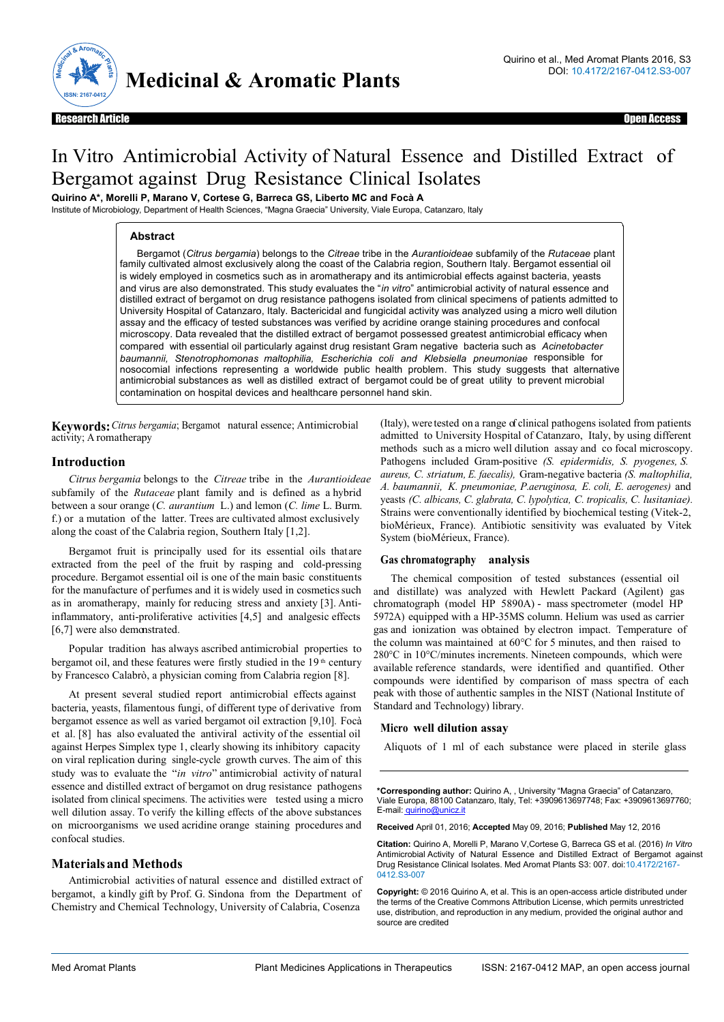

# In Vitro Antimicrobial Activity of Natural Essence and Distilled Extract of Bergamot against Drug Resistance Clinical Isolates

**Quirino A\*, Morelli P, Marano V, Cortese G, Barreca GS, Liberto MC and Focà A**

Institute of Microbiology, Department of Health Sciences, "Magna Graecia" University, Viale Europa, Catanzaro, Italy

# **Abstract**

Bergamot (*Citrus bergamia*) belongs to the *Citreae* tribe in the *Aurantioideae* subfamily of the *Rutaceae* plant family cultivated almost exclusively along the coast of the Calabria region, Southern Italy. Bergamot essential oil is widely employed in cosmetics such as in aromatherapy and its antimicrobial effects against bacteria, yeasts and virus are also demonstrated. This study evaluates the "*in vitro*" antimicrobial activity of natural essence and distilled extract of bergamot on drug resistance pathogens isolated from clinical specimens of patients admitted to University Hospital of Catanzaro, Italy. Bactericidal and fungicidal activity was analyzed using a micro well dilution assay and the efficacy of tested substances was verified by acridine orange staining procedures and confocal microscopy. Data revealed that the distilled extract of bergamot possessed greatest antimicrobial efficacy when compared with essential oil particularly against drug resistant Gram negative bacteria such as *Acinetobacter baumannii, Stenotrophomonas maltophilia, Escherichia coli and Klebsiella pneumoniae* responsible for nosocomial infections representing a worldwide public health problem*.* This study suggests that alternative antimicrobial substances as well as distilled extract of bergamot could be of great utility to prevent microbial contamination on hospital devices and healthcare personnel hand skin.

**Keywords:** *Citrus bergamia*; Bergamot natural essence; Antimicrobial activity; A romatherapy

# **Introduction**

*Citrus bergamia* belongs to the *Citreae* tribe in the *Aurantioideae*  subfamily of the *Rutaceae* plant family and is defined as a hybrid between a sour orange (*C. aurantium* L.) and lemon (*C. lime* L. Burm. f.) or a mutation of the latter. Trees are cultivated almost exclusively along the coast of the Calabria region, Southern Italy [1,2].

Bergamot fruit is principally used for its essential oils that are extracted from the peel of the fruit by rasping and cold-pressing procedure. Bergamot essential oil is one of the main basic constituents for the manufacture of perfumes and it is widely used in cosmetics such as in aromatherapy, mainly for reducing stress and anxiety [3]. Antiinflammatory, anti-proliferative activities [4,5] and analgesic effects [6,7] were also demonstrated.

Popular tradition has always ascribed antimicrobial properties to bergamot oil, and these features were firstly studied in the 19<sup>th</sup> century by Francesco Calabrò, a physician coming from Calabria region [8].

At present several studied report antimicrobial effects against bacteria, yeasts, filamentous fungi, of different type of derivative from bergamot essence as well as varied bergamot oil extraction [9,10]. Focà et al. [8] has also evaluated the antiviral activity of the essential oil against Herpes Simplex type 1, clearly showing its inhibitory capacity on viral replication during single-cycle growth curves. The aim of this study was to evaluate the "*in vitro*" antimicrobial activity of natural essence and distilled extract of bergamot on drug resistance pathogens isolated from clinical specimens. The activities were tested using a micro well dilution assay. To verify the killing effects of the above substances on microorganisms we used acridine orange staining procedures and confocal studies.

# **Materials and Methods**

Antimicrobial activities of natural essence and distilled extract of bergamot, a kindly gift by Prof. G. Sindona from the Department of Chemistry and Chemical Technology, University of Calabria, Cosenza

(Italy), were tested on a range of clinical pathogens isolated from patients admitted to University Hospital of Catanzaro, Italy, by using different methods such as a micro well dilution assay and co focal microscopy. Pathogens included Gram-positive *(S. epidermidis, S. pyogenes, S. aureus, C. striatum, E. faecalis),* Gram-negative bacteria *(S. maltophilia, A. baumannii, K. pneumoniae, P. aeruginosa, E. coli, E. aerogenes)* and yeasts *(C. albicans, C. glabrata, C. lypolytica, C. tropicalis, C. lusitaniae).* Strains were conventionally identified by biochemical testing (Vitek-2, bioMérieux, France). Antibiotic sensitivity was evaluated by Vitek System (bioMérieux, France).

# **Gas chromatography analysis**

The chemical composition of tested substances (essential oil and distillate) was analyzed with Hewlett Packard (Agilent) gas chromatograph (model HP 5890A) - mass spectrometer (model HP 5972A) equipped with a HP-35MS column. Helium was used as carrier gas and ionization was obtained by electron impact. Temperature of the column was maintained at 60°C for 5 minutes, and then raised to 280°C in 10°C/minutes increments. Nineteen compounds, which were available reference standards, were identified and quantified. Other compounds were identified by comparison of mass spectra of each peak with those of authentic samples in the NIST (National Institute of Standard and Technology) library.

# **Micro well dilution assay**

Aliquots of 1 ml of each substance were placed in sterile glass

**\*Corresponding author:** Quirino A, , University "Magna Graecia" of Catanzaro, Viale Europa, 88100 Catanzaro, Italy, Tel: +3909613697748; Fax: +3909613697760; E-mail: quirino@unicz.it

**Received** April 01, 2016; **Accepted** May 09, 2016; **Published** May 12, 2016

**Citation:** Quirino A, Morelli P, Marano V,Cortese G, Barreca GS et al. (2016) *In Vitro*  Antimicrobial Activity of Natural Essence and Distilled Extract of Bergamot against Drug Resistance Clinical Isolates. Med Aromat Plants S3: 007. doi:10.4172/2167- 0412.S3-007

**Copyright:** © 2016 Quirino A, et al. This is an open-access article distributed under the terms of the Creative Commons Attribution License, which permits unrestricted use, distribution, and reproduction in any medium, provided the original author and source are credited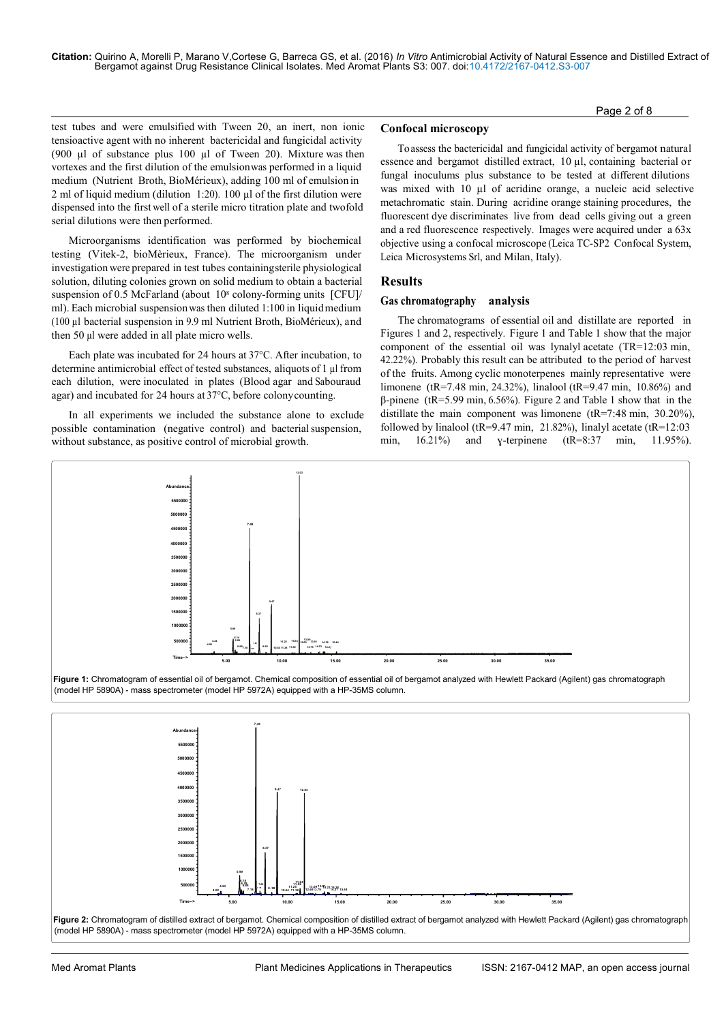Page 2 of 8 and 2 of 8 and 2 of 8 and 2 of 8 and 2 of 8 and 2 of 8 and 2 of 8 and 2 of 8 and 2 of 8

test tubes and were emulsified with Tween 20, an inert, non ionic tensioactive agent with no inherent bactericidal and fungicidal activity (900 µl of substance plus 100 µl of Tween 20). Mixture was then vortexes and the first dilution of the emulsion was performed in a liquid medium (Nutrient Broth, BioMérieux), adding 100 ml of emulsion in 2 ml of liquid medium (dilution 1:20). 100 ul of the first dilution were dispensed into the first well of a sterile micro titration plate and twofold serial dilutions were then performed.

Microorganisms identification was performed by biochemical testing (Vitek-2, bioMèrieux, France). The microorganism under investigation were prepared in test tubes containing sterile physiological solution, diluting colonies grown on solid medium to obtain a bacterial suspension of 0.5 McFarland (about 10<sup>8</sup> colony-forming units [CFU]/ ml). Each microbial suspension was then diluted 1:100 in liquid medium (100 µl bacterial suspension in 9.9 ml Nutrient Broth, BioMérieux), and then 50 µl were added in all plate micro wells.

Each plate was incubated for 24 hours at 37°C. After incubation, to determine antimicrobial effect of tested substances, aliquots of 1 µl from each dilution, were inoculated in plates (Blood agar and Sabouraud agar) and incubated for 24 hours at 37°C, before colony counting.

In all experiments we included the substance alone to exclude possible contamination (negative control) and bacterial suspension, without substance, as positive control of microbial growth.

#### **Confocal microscopy**

To assess the bactericidal and fungicidal activity of bergamot natural essence and bergamot distilled extract, 10 µl, containing bacterial or fungal inoculums plus substance to be tested at different dilutions was mixed with 10 µl of acridine orange, a nucleic acid selective metachromatic stain. During acridine orange staining procedures, the fluorescent dye discriminates live from dead cells giving out a green and a red fluorescence respectively. Images were acquired under a 63x objective using a confocal microscope (Leica TC-SP2 Confocal System, Leica Microsystems Srl, and Milan, Italy).

# **Results**

#### **Gas chromatography analysis**

The chromatograms of essential oil and distillate are reported in Figures 1 and 2, respectively. Figure 1 and Table 1 show that the major component of the essential oil was lynalyl acetate (TR=12:03 min, 42.22%). Probably this result can be attributed to the period of harvest of the fruits. Among cyclic monoterpenes mainly representative were limonene (tR=7.48 min, 24.32%), linalool (tR=9.47 min, 10.86%) and β-pinene (tR=5.99 min, 6.56%). Figure 2 and Table 1 show that in the distillate the main component was limonene (tR=7:48 min, 30.20%), followed by linalool (tR=9.47 min, 21.82%), linalyl acetate (tR=12:03 min, 16.21%) and y-terpinene (tR=8:37 min, 11.95%).



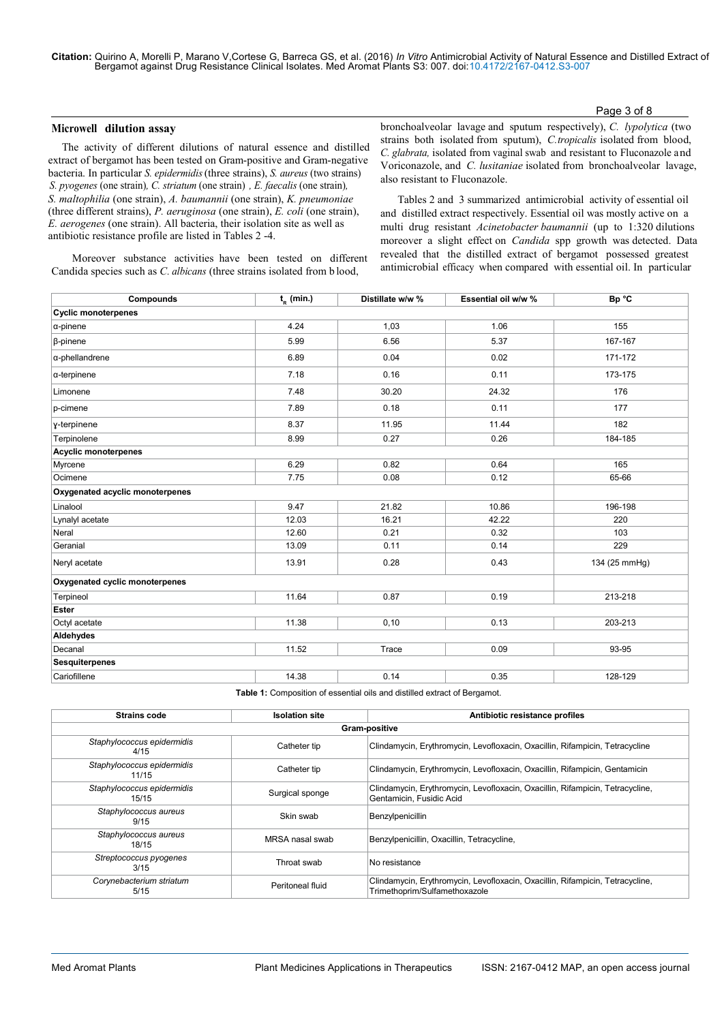**Citation:** Quirino A, Morelli P, Marano V,Cortese G, Barreca GS, et al. (2016) *In Vitro* Antimicrobial Activity of Natural Essence and Distilled Extract of Bergamot against Drug Resistance Clinical Isolates. Med Aromat Plants S3: 007. doi:10.4172/2167-0412.S3-007

#### Page 3 of 8

### **Microwell dilution assay**

The activity of different dilutions of natural essence and distilled extract of bergamot has been tested on Gram-positive and Gram-negative bacteria. In particular *S. epidermidis* (three strains), *S. aureus* (two strains) *S. pyogenes* (one strain)*, C. striatum* (one strain) *, E. faecalis* (one strain)*, S. maltophilia* (one strain), *A. baumannii* (one strain), *K. pneumoniae*  (three different strains), *P. aeruginosa* (one strain), *E. coli* (one strain), *E. aerogenes* (one strain). All bacteria, their isolation site as well as antibiotic resistance profile are listed in Tables 2 -4.

bronchoalveolar lavage and sputum respectively), *C. lypolytica* (two strains both isolated from sputum), *C. tropicalis* isolated from blood, *C. glabrata,* isolated from vaginal swab and resistant to Fluconazole and Voriconazole, and *C. lusitaniae* isolated from bronchoalveolar lavage, also resistant to Fluconazole.

Tables 2 and 3 summarized antimicrobial activity of essential oil and distilled extract respectively. Essential oil was mostly active on a multi drug resistant *Acinetobacter baumannii* (up to 1:320 dilutions moreover a slight effect on *Candida* spp growth was detected. Data revealed that the distilled extract of bergamot possessed greatest antimicrobial efficacy when compared with essential oil. In particular

Moreover substance activities have been tested on different Candida species such as *C. albicans* (three strains isolated from b lood,

| Compounds                       | $t_{n}$ (min.) | Distillate w/w % | Essential oil w/w % | Bp °C         |  |  |  |
|---------------------------------|----------------|------------------|---------------------|---------------|--|--|--|
| <b>Cyclic monoterpenes</b>      |                |                  |                     |               |  |  |  |
| $\alpha$ -pinene                | 4.24           | 1,03             | 1.06                | 155           |  |  |  |
| β-pinene                        | 5.99           | 6.56             | 5.37                | 167-167       |  |  |  |
| α-phellandrene                  | 6.89           | 0.04             | 0.02                | 171-172       |  |  |  |
| $\alpha$ -terpinene             | 7.18           | 0.16             | 0.11                | 173-175       |  |  |  |
| Limonene                        | 7.48           | 30.20            | 24.32               | 176           |  |  |  |
| p-cimene                        | 7.89           | 0.18             | 0.11                | 177           |  |  |  |
| y-terpinene                     | 8.37           | 11.95            | 11.44               | 182           |  |  |  |
| Terpinolene                     | 8.99           | 0.27             | 0.26                | 184-185       |  |  |  |
| <b>Acyclic monoterpenes</b>     |                |                  |                     |               |  |  |  |
| Myrcene                         | 6.29           | 0.82             | 0.64                | 165           |  |  |  |
| Ocimene                         | 7.75           | 0.08             | 0.12                | 65-66         |  |  |  |
| Oxygenated acyclic monoterpenes |                |                  |                     |               |  |  |  |
| Linalool                        | 9.47           | 21.82            | 10.86               | 196-198       |  |  |  |
| Lynalyl acetate                 | 12.03          | 16.21            | 42.22               | 220           |  |  |  |
| Neral                           | 12.60          | 0.21             | 0.32                | 103           |  |  |  |
| Geranial                        | 13.09          | 0.11             | 0.14                | 229           |  |  |  |
| Neryl acetate                   | 13.91          | 0.28             | 0.43                | 134 (25 mmHg) |  |  |  |
| Oxygenated cyclic monoterpenes  |                |                  |                     |               |  |  |  |
| Terpineol                       | 11.64          | 0.87             | 0.19                | 213-218       |  |  |  |
| <b>Ester</b>                    |                |                  |                     |               |  |  |  |
| Octyl acetate                   | 11.38          | 0.10             | 0.13                | 203-213       |  |  |  |
| Aldehydes                       |                |                  |                     |               |  |  |  |
| Decanal                         | 11.52          | Trace            | 0.09                | 93-95         |  |  |  |
| <b>Sesquiterpenes</b>           |                |                  |                     |               |  |  |  |
| Cariofillene                    | 14.38          | 0.14             | 0.35                | 128-129       |  |  |  |

**Table 1:** Composition of essential oils and distilled extract of Bergamot.

| <b>Strains code</b>                 | <b>Isolation site</b> | Antibiotic resistance profiles                                                                                 |  |  |  |  |  |
|-------------------------------------|-----------------------|----------------------------------------------------------------------------------------------------------------|--|--|--|--|--|
| Gram-positive                       |                       |                                                                                                                |  |  |  |  |  |
| Staphylococcus epidermidis<br>4/15  | Catheter tip          | Clindamycin, Erythromycin, Levofloxacin, Oxacillin, Rifampicin, Tetracycline                                   |  |  |  |  |  |
| Staphylococcus epidermidis<br>11/15 | Catheter tip          | Clindamycin, Erythromycin, Levofloxacin, Oxacillin, Rifampicin, Gentamicin                                     |  |  |  |  |  |
| Staphylococcus epidermidis<br>15/15 | Surgical sponge       | Clindamycin, Erythromycin, Levofloxacin, Oxacillin, Rifampicin, Tetracycline,<br>Gentamicin, Fusidic Acid      |  |  |  |  |  |
| Staphylococcus aureus<br>9/15       | Skin swab             | Benzylpenicillin                                                                                               |  |  |  |  |  |
| Staphylococcus aureus<br>18/15      | MRSA nasal swab       | Benzylpenicillin, Oxacillin, Tetracycline,                                                                     |  |  |  |  |  |
| Streptococcus pyogenes<br>3/15      | Throat swab           | No resistance                                                                                                  |  |  |  |  |  |
| Corynebacterium striatum<br>5/15    | Peritoneal fluid      | Clindamycin, Erythromycin, Levofloxacin, Oxacillin, Rifampicin, Tetracycline,<br>Trimethoprim/Sulfamethoxazole |  |  |  |  |  |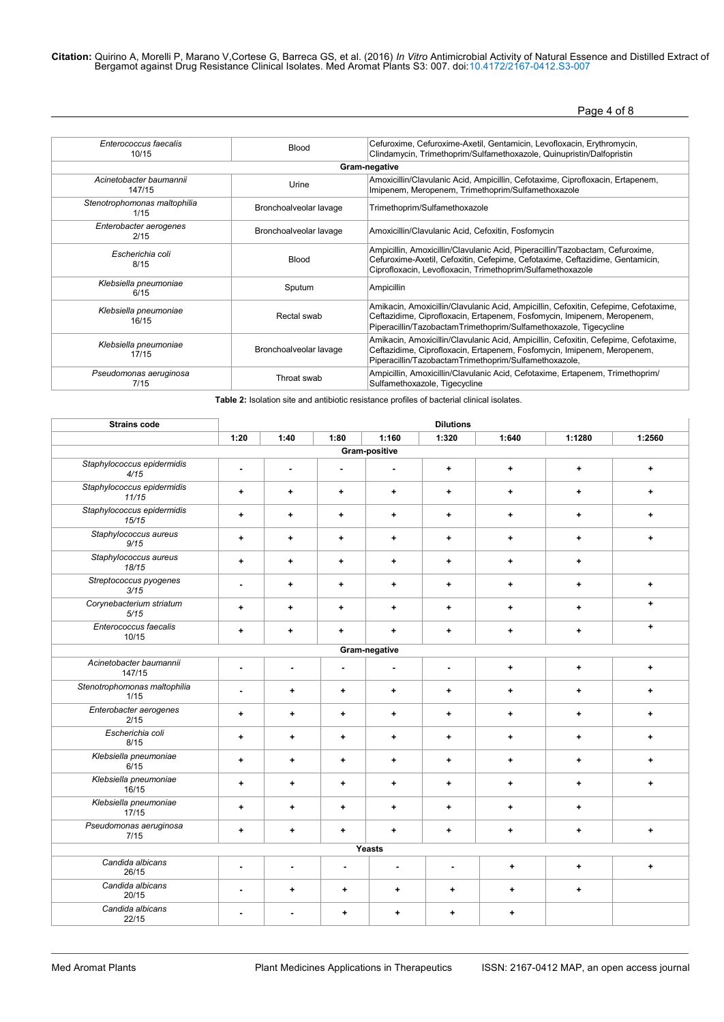Citation: Quirino A, Morelli P, Marano V,Cortese G, Barreca GS, et al. (2016) In Vitro Antimicrobial Activity of Natural Essence and Distilled Extract of<br>Bergamot against Drug Resistance Clinical Isolates. Med Aromat Plant

Page 4 of 8

| Enterococcus faecalis                | <b>Blood</b>           | Cefuroxime, Cefuroxime-Axetil, Gentamicin, Levofloxacin, Erythromycin,                                                                                                                                                              |  |  |  |  |  |  |
|--------------------------------------|------------------------|-------------------------------------------------------------------------------------------------------------------------------------------------------------------------------------------------------------------------------------|--|--|--|--|--|--|
| 10/15                                |                        | Clindamycin, Trimethoprim/Sulfamethoxazole, Quinupristin/Dalfopristin                                                                                                                                                               |  |  |  |  |  |  |
|                                      | Gram-negative          |                                                                                                                                                                                                                                     |  |  |  |  |  |  |
| Acinetobacter baumannii              | Urine                  | Amoxicillin/Clavulanic Acid, Ampicillin, Cefotaxime, Ciprofloxacin, Ertapenem,                                                                                                                                                      |  |  |  |  |  |  |
| 147/15                               |                        | Imipenem, Meropenem, Trimethoprim/Sulfamethoxazole                                                                                                                                                                                  |  |  |  |  |  |  |
| Stenotrophomonas maltophilia<br>1/15 | Bronchoalveolar lavage | Trimethoprim/Sulfamethoxazole                                                                                                                                                                                                       |  |  |  |  |  |  |
| Enterobacter aerogenes<br>2/15       | Bronchoalveolar lavage | Amoxicillin/Clavulanic Acid, Cefoxitin, Fosfomycin                                                                                                                                                                                  |  |  |  |  |  |  |
| Escherichia coli<br>8/15             | <b>Blood</b>           | Ampicillin, Amoxicillin/Clavulanic Acid, Piperacillin/Tazobactam, Cefuroxime,<br>Cefuroxime-Axetil, Cefoxitin, Cefepime, Cefotaxime, Ceftazidime, Gentamicin,<br>Ciprofloxacin, Levofloxacin, Trimethoprim/Sulfamethoxazole         |  |  |  |  |  |  |
| Klebsiella pneumoniae<br>6/15        | Sputum                 | Ampicillin                                                                                                                                                                                                                          |  |  |  |  |  |  |
| Klebsiella pneumoniae<br>16/15       | Rectal swab            | Amikacin, Amoxicillin/Clavulanic Acid, Ampicillin, Cefoxitin, Cefepime, Cefotaxime,<br>Ceftazidime, Ciprofloxacin, Ertapenem, Fosfomycin, Imipenem, Meropenem,<br>Piperacillin/TazobactamTrimethoprim/Sulfamethoxazole, Tigecycline |  |  |  |  |  |  |
| Klebsiella pneumoniae<br>17/15       | Bronchoalveolar lavage | Amikacin, Amoxicillin/Clavulanic Acid, Ampicillin, Cefoxitin, Cefepime, Cefotaxime,<br>Ceftazidime, Ciprofloxacin, Ertapenem, Fosfomycin, Imipenem, Meropenem,<br>Piperacillin/TazobactamTrimethoprim/Sulfamethoxazole,             |  |  |  |  |  |  |
| Pseudomonas aeruginosa<br>7/15       | Throat swab            | Ampicillin, Amoxicillin/Clavulanic Acid, Cefotaxime, Ertapenem, Trimethoprim/<br>Sulfamethoxazole, Tigecycline                                                                                                                      |  |  |  |  |  |  |

**Table 2:** Isolation site and antibiotic resistance profiles of bacterial clinical isolates.

| <b>Strains code</b>                  | <b>Dilutions</b> |                          |                |                |                |             |             |           |
|--------------------------------------|------------------|--------------------------|----------------|----------------|----------------|-------------|-------------|-----------|
|                                      | 1:20             | 1:40                     | 1:80           | 1:160          | 1:320          | 1:640       | 1:1280      | 1:2560    |
|                                      |                  |                          |                | Gram-positive  |                |             |             |           |
| Staphylococcus epidermidis<br>4/15   | ٠                | $\frac{1}{2}$            | ä,             | $\blacksquare$ | $\ddot{}$      | $\ddot{}$   | ٠           | ٠         |
| Staphylococcus epidermidis<br>11/15  | $\ddot{}$        | $\ddot{}$                | $\ddot{+}$     | $\ddotmark$    | $\ddot{}$      | $\ddotmark$ | $\ddotmark$ | $\ddot{}$ |
| Staphylococcus epidermidis<br>15/15  | $\ddot{}$        | $\ddot{}$                | $\ddot{}$      | $\ddot{}$      | $\ddag$        | $\ddotmark$ | $\ddot{}$   | ٠         |
| Staphylococcus aureus<br>9/15        | ٠                | $\ddot{}$                | $\ddot{}$      | $\ddot{}$      | ٠              | $\ddot{}$   | ٠           | ٠         |
| Staphylococcus aureus<br>18/15       | ٠                | $\ddot{}$                | $\ddot{}$      | $\ddot{}$      | $\ddot{}$      | $\ddotmark$ | $\ddot{}$   |           |
| Streptococcus pyogenes<br>3/15       | ٠                | $\ddot{}$                | $\ddot{}$      | $\ddot{}$      | $\ddot{}$      | $\ddotmark$ | ٠           | $\ddot{}$ |
| Corynebacterium striatum<br>5/15     | ٠                | $\ddot{}$                | $\ddot{}$      | ٠.             | $\ddot{}$      | $\ddot{}$   | ٠           | $\ddot{}$ |
| Enterococcus faecalis<br>10/15       | $\ddot{}$        | $\ddot{}$                | $\ddot{}$      | $\ddot{}$      | $\ddot{}$      | $\ddotmark$ | $\ddot{}$   | $\ddot{}$ |
|                                      |                  |                          |                | Gram-negative  |                |             |             |           |
| Acinetobacter baumannii<br>147/15    | $\blacksquare$   | $\overline{\phantom{a}}$ | $\blacksquare$ | $\blacksquare$ | $\blacksquare$ | $\ddot{}$   | ٠           | ٠         |
| Stenotrophomonas maltophilia<br>1/15 | ä,               | ٠                        | ٠              | $\ddot{}$      | $\ddot{}$      | $\ddot{}$   | ٠           | ٠         |
| Enterobacter aerogenes<br>2/15       | ٠                | $\ddotmark$              | ٠              | $\ddot{}$      | ٠              | $\ddot{}$   | ٠           | ٠         |
| Escherichia coli<br>8/15             | $\ddotmark$      | $\ddot{}$                | $\ddot{}$      | $\ddot{}$      | $\ddot{}$      | $\ddotmark$ | $\ddot{}$   | $\ddot{}$ |
| Klebsiella pneumoniae<br>6/15        | $\ddot{}$        | ٠                        | ٠              | ٠              | ٠              | $\ddot{}$   | ٠           | ٠         |
| Klebsiella pneumoniae<br>16/15       | ٠                | ٠                        | ٠              | ٠.             | $\ddot{}$      | $\ddot{}$   | ٠           | ٠         |
| Klebsiella pneumoniae<br>17/15       | $\ddot{}$        | $\ddot{}$                | $\ddot{}$      | $\ddot{}$      | $\ddot{}$      | $\ddotmark$ | $\ddot{}$   |           |
| Pseudomonas aeruginosa<br>7/15       | ٠                | ٠                        | ٠              | $\ddot{}$      | $\ddot{}$      | $\ddot{}$   | ٠           | ٠         |
| Yeasts                               |                  |                          |                |                |                |             |             |           |
| Candida albicans<br>26/15            | ٠                | $\blacksquare$           | $\blacksquare$ | $\blacksquare$ | $\blacksquare$ | $\ddot{}$   | ٠           | ٠         |
| Candida albicans<br>20/15            | ÷                | ٠                        | ٠              | ٠              | $\ddot{}$      | ٠           | ٠           |           |
| Candida albicans<br>22/15            | ä,               | $\blacksquare$           | ÷              | $\ddotmark$    | $\ddotmark$    | $\ddotmark$ |             |           |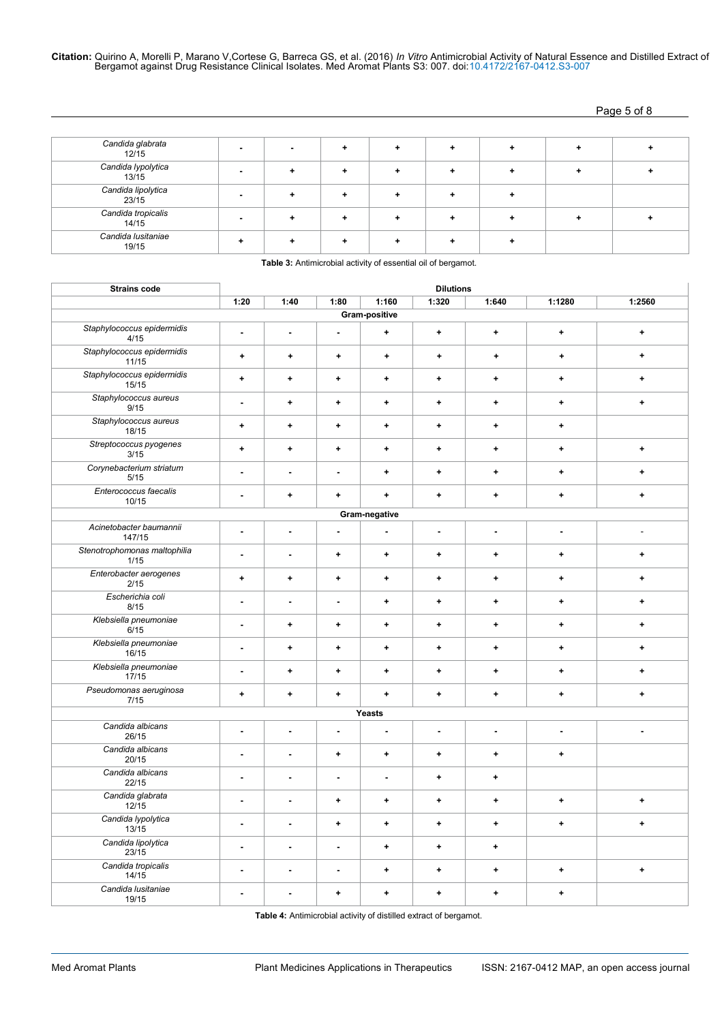Page 5 of 8

| Candida glabrata<br>12/15   |  |  |  |  |
|-----------------------------|--|--|--|--|
| Candida lypolytica<br>13/15 |  |  |  |  |
| Candida lipolytica<br>23/15 |  |  |  |  |
| Candida tropicalis<br>14/15 |  |  |  |  |
| Candida Iusitaniae<br>19/15 |  |  |  |  |

| <b>Strains code</b>                  | <b>Dilutions</b>         |                      |                          |                |                |             |             |                |
|--------------------------------------|--------------------------|----------------------|--------------------------|----------------|----------------|-------------|-------------|----------------|
|                                      | 1:20                     | 1:40                 | 1:80                     | 1:160          | 1:320          | 1:640       | 1:1280      | 1:2560         |
| Gram-positive                        |                          |                      |                          |                |                |             |             |                |
| Staphylococcus epidermidis<br>4/15   | $\blacksquare$           | $\blacksquare$       | $\blacksquare$           | $\ddot{}$      | $\ddot{}$      | $\ddotmark$ | $\ddotmark$ | $\ddotmark$    |
| Staphylococcus epidermidis<br>11/15  | $\ddot{}$                | ÷                    | $\ddot{}$                | $\ddot{}$      | $\ddot{}$      | $\ddot{}$   | $\ddot{}$   | $\ddotmark$    |
| Staphylococcus epidermidis<br>15/15  | $\ddot{}$                | $\ddot{}$            | $\ddag$                  | $\ddot{}$      | $\ddot{}$      | $\ddot{}$   | $\ddot{}$   | $\ddot{}$      |
| Staphylococcus aureus<br>9/15        | ٠                        | $\ddot{\phantom{1}}$ | $\ddag$                  | $\ddot{}$      | $\ddot{}$      | $\ddot{}$   | $\ddot{}$   | $\ddot{}$      |
| Staphylococcus aureus<br>18/15       | ÷                        | ٠                    | ٠                        | $\ddot{}$      | ٠              | ٠           | ٠           |                |
| Streptococcus pyogenes<br>3/15       | ÷                        | $\ddot{}$            | $\ddot{}$                | $\ddotmark$    | $\ddot{}$      | ٠           | ٠           | $\ddot{}$      |
| Corynebacterium striatum<br>5/15     | $\overline{\phantom{a}}$ | $\blacksquare$       | ÷,                       | $\ddot{}$      | ٠              | ٠           | $\ddot{}$   | $\ddot{}$      |
| Enterococcus faecalis<br>10/15       | $\overline{\phantom{a}}$ | $\ddot{}$            | $\ddot{}$                | $\ddot{}$      | $\ddot{}$      | $\ddot{}$   | $\ddot{}$   | +              |
|                                      |                          |                      |                          | Gram-negative  |                |             |             |                |
| Acinetobacter baumannii<br>147/15    | ä,                       | ä,                   | ÷,                       | $\blacksquare$ | ä,             | ä,          | Ĭ.          | $\overline{a}$ |
| Stenotrophomonas maltophilia<br>1/15 | ä,                       | $\blacksquare$       | $\ddot{}$                | $\ddot{}$      | $\ddot{}$      | ٠           | ٠           | $\ddot{}$      |
| Enterobacter aerogenes<br>2/15       | $\ddot{}$                | $\ddot{}$            | $\ddot{}$                | $\ddot{}$      | $\ddot{}$      | $\ddot{}$   | $\ddot{}$   | $\ddot{}$      |
| Escherichia coli<br>8/15             | ÷,                       | $\overline{a}$       | $\overline{\phantom{a}}$ | $\ddot{}$      | $\ddot{}$      | $\ddot{}$   | $\ddot{}$   | $\ddot{}$      |
| Klebsiella pneumoniae<br>6/15        | $\blacksquare$           | $\ddot{}$            | $\ddot{}$                | $\ddot{}$      | $\ddot{}$      | $\ddot{}$   | $\ddotmark$ | $\ddot{}$      |
| Klebsiella pneumoniae<br>16/15       | ä,                       | $\ddot{}$            | $\ddot{}$                | $\ddot{}$      | $\ddot{}$      | $\ddot{}$   | ٠           | $\ddot{}$      |
| Klebsiella pneumoniae<br>17/15       | ÷,                       | $\ddot{}$            | $\ddot{}$                | $\ddot{}$      | $\ddot{}$      | ٠           | ٠           | $\ddot{}$      |
| Pseudomonas aeruginosa<br>7/15       | ٠                        | $\ddot{}$            | $\ddot{}$                | $\ddot{}$      | $\ddot{}$      | ٠           | $\ddot{}$   | $\ddot{}$      |
|                                      |                          |                      |                          | Yeasts         |                |             |             |                |
| Candida albicans<br>26/15            | ä,                       | $\blacksquare$       | ä,                       | $\blacksquare$ | $\blacksquare$ | ä,          | ä,          | ÷,             |
| Candida albicans<br>20/15            | ä,                       | $\blacksquare$       | $\pmb{\ast}$             | $\ddot{}$      | $\ddot{}$      | ٠           | ٠           |                |
| Candida albicans<br>22/15            | ٠                        | $\blacksquare$       | ÷,                       | $\blacksquare$ | $\ddot{}$      | $\ddot{}$   |             |                |
| Candida glabrata<br>12/15            | $\blacksquare$           | ä,                   | ٠                        | $\ddot{}$      | $\ddot{}$      | $\ddot{}$   | $\ddot{}$   | $\ddot{}$      |
| Candida lypolytica<br>13/15          | $\blacksquare$           | $\blacksquare$       | $\ddag$                  | $\ddot{}$      | $\ddot{}$      | $\ddot{}$   | $\ddot{}$   | $\ddot{}$      |
| Candida lipolytica<br>23/15          | $\blacksquare$           | $\blacksquare$       | $\blacksquare$           | $\ddot{}$      | $\ddot{}$      | $\ddag$     |             |                |
| Candida tropicalis<br>14/15          | ä,                       | $\blacksquare$       | $\blacksquare$           | +              | $\ddot{}$      | +           | ٠           | $\ddot{}$      |
| Candida Iusitaniae<br>19/15          |                          | ä,                   | $\ddag$                  | $\ddot{}$      | $\ddot{}$      | $\ddot{}$   | $\ddot{}$   |                |

**Table 3:** Antimicrobial activity of essential oil of bergamot.

**Table 4:** Antimicrobial activity of distilled extract of bergamot.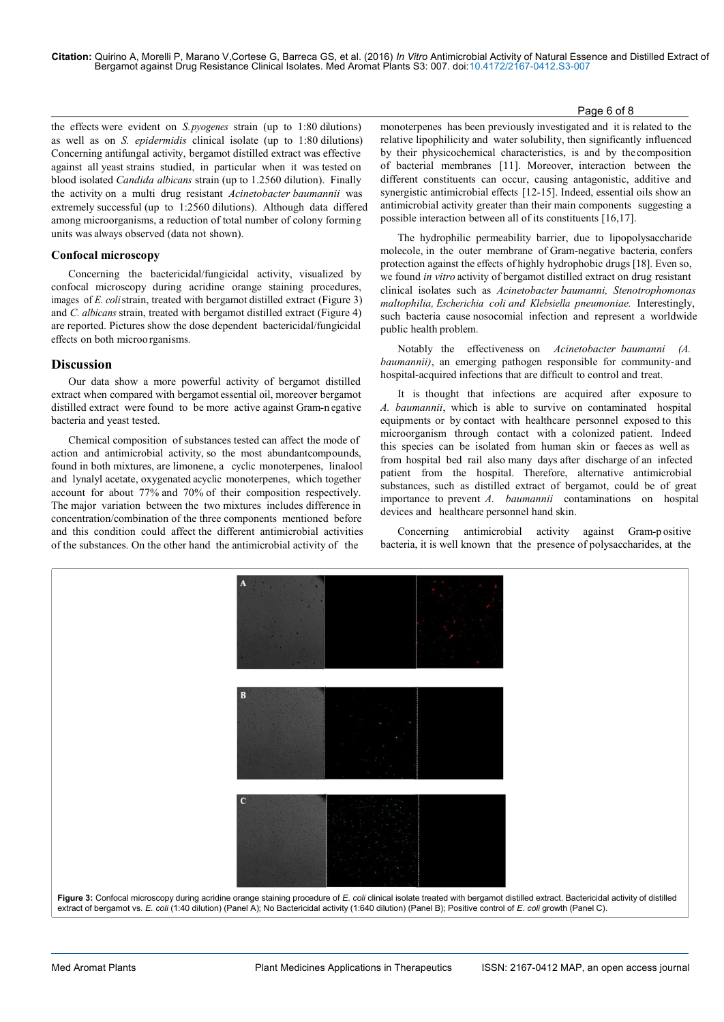Page 6 of 8 and 2012 and 2012 and 2012 and 2012 and 2012 and 2012 and 2012 and 2012 and 2012 and 201

the effects were evident on *S. pyogenes* strain (up to 1:80 dilutions) as well as on *S. epidermidis* clinical isolate (up to 1:80 dilutions) Concerning antifungal activity, bergamot distilled extract was effective against all yeast strains studied, in particular when it was tested on blood isolated *Candida albicans* strain (up to 1.2560 dilution). Finally the activity on a multi drug resistant *Acinetobacter baumannii* was extremely successful (up to 1:2560 dilutions). Although data differed among microorganisms, a reduction of total number of colony forming units was always observed (data not shown).

# **Confocal microscopy**

Concerning the bactericidal/fungicidal activity, visualized by confocal microscopy during acridine orange staining procedures, images of *E. coli* strain, treated with bergamot distilled extract (Figure 3) and *C. albicans* strain, treated with bergamot distilled extract (Figure 4) are reported. Pictures show the dose dependent bactericidal/fungicidal effects on both microorganisms.

# **Discussion**

Our data show a more powerful activity of bergamot distilled extract when compared with bergamot essential oil, moreover bergamot distilled extract were found to be more active against Gram-n egative bacteria and yeast tested.

Chemical composition of substances tested can affect the mode of action and antimicrobial activity, so the most abundant compounds, found in both mixtures, are limonene, a cyclic monoterpenes, linalool and lynalyl acetate, oxygenated acyclic monoterpenes, which together account for about 77% and 70% of their composition respectively. The major variation between the two mixtures includes difference in concentration/combination of the three components mentioned before and this condition could affect the different antimicrobial activities of the substances. On the other hand the antimicrobial activity of the

monoterpenes has been previously investigated and it is related to the relative lipophilicity and water solubility, then significantly influenced by their physicochemical characteristics, is and by the composition of bacterial membranes [11]. Moreover, interaction between the different constituents can occur, causing antagonistic, additive and synergistic antimicrobial effects [12-15]. Indeed, essential oils show an antimicrobial activity greater than their main components suggesting a possible interaction between all of its constituents [16,17].

The hydrophilic permeability barrier, due to lipopolysaccharide molecole, in the outer membrane of Gram-negative bacteria, confers protection against the effects of highly hydrophobic drugs [18]. Even so, we found *in vitro* activity of bergamot distilled extract on drug resistant clinical isolates such as *Acinetobacter baumanni, Stenotrophomonas maltophilia, Escherichia coli and Klebsiella pneumoniae.* Interestingly, such bacteria cause nosocomial infection and represent a worldwide public health problem.

Notably the effectiveness on *Acinetobacter baumanni (A. baumannii*), an emerging pathogen responsible for community- and hospital-acquired infections that are difficult to control and treat.

It is thought that infections are acquired after exposure to *A. baumannii*, which is able to survive on contaminated hospital equipments or by contact with healthcare personnel exposed to this microorganism through contact with a colonized patient. Indeed this species can be isolated from human skin or faeces as well as from hospital bed rail also many days after discharge of an infected patient from the hospital. Therefore, alternative antimicrobial substances, such as distilled extract of bergamot, could be of great importance to prevent *A. baumannii* contaminations on hospital devices and healthcare personnel hand skin.

Concerning antimicrobial activity against Gram-p ositive bacteria, it is well known that the presence of polysaccharides, at the

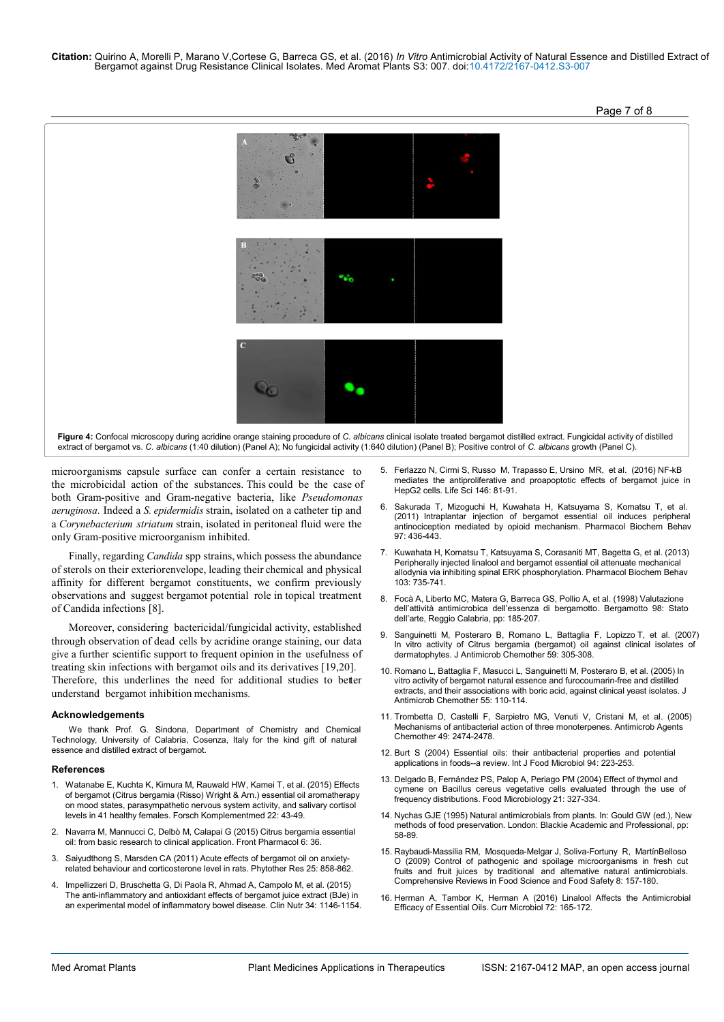

microorganisms capsule surface can confer a certain resistance to the microbicidal action of the substances. This could be the case of both Gram-positive and Gram-negative bacteria, like *Pseudomonas aeruginosa*. Indeed a *S. epidermidis* strain, isolated on a catheter tip and a *Corynebacterium striatum* strain, isolated in peritoneal fluid were the only Gram-positive microorganism inhibited.

Finally, regarding *Candida* spp strains, which possess the abundance of sterols on their exterior envelope, leading their chemical and physical affinity for different bergamot constituents, we confirm previously observations and suggest bergamot potential role in topical treatment of Candida infections [8].

Moreover, considering bactericidal/fungicidal activity, established through observation of dead cells by acridine orange staining, our data give a further scientific support to frequent opinion in the usefulness of treating skin infections with bergamot oils and its derivatives [19,20]. Therefore, this underlines the need for additional studies to better understand bergamot inhibition mechanisms.

#### **Acknowledgements**

We thank Prof. G. Sindona, Department of Chemistry and Chemical Technology, University of Calabria, Cosenza, Italy for the kind gift of natural essence and distilled extract of bergamot.

#### **References**

- 1. Watanabe E, Kuchta K, Kimura M, Rauwald HW, Kamei T, et al. (2015) Effects of bergamot (Citrus bergamia (Risso) Wright & Arn.) essential oil aromatherapy on mood states, parasympathetic nervous system activity, and salivary cortisol levels in 41 healthy females. Forsch Komplementmed 22: 43-49.
- 2. Navarra M, Mannucci C, Delbò M, Calapai G (2015) Citrus bergamia essential oil: from basic research to clinical application. Front Pharmacol 6: 36.
- 3. Saiyudthong S, Marsden CA (2011) Acute effects of bergamot oil on anxietyrelated behaviour and corticosterone level in rats. Phytother Res 25: 858-862.
- 4. Impellizzeri D, Bruschetta G, Di Paola R, Ahmad A, Campolo M, et al. (2015) The anti-inflammatory and antioxidant effects of bergamot juice extract (BJe) in an experimental model of inflammatory bowel disease. Clin Nutr 34: 1146-1154.
- 5. Ferlazzo N, Cirmi S, Russo M, Trapasso E, Ursino MR, et al. (2016) NF-kB mediates the antiproliferative and proapoptotic effects of bergamot juice in HepG2 cells. Life Sci 146: 81-91.
- 6. Sakurada T, Mizoguchi H, Kuwahata H, Katsuyama S, Komatsu T, et al. (2011) Intraplantar injection of bergamot essential oil induces peripheral antinociception mediated by opioid mechanism. Pharmacol Biochem Behav 97: 436-443.
- 7. Kuwahata H, Komatsu T, Katsuyama S, Corasaniti MT, Bagetta G, et al. (2013) Peripherally injected linalool and bergamot essential oil attenuate mechanical allodynia via inhibiting spinal ERK phosphorylation. Pharmacol Biochem Behav 103: 735-741.
- 8. Focà A, Liberto MC, Matera G, Barreca GS, Pollio A, et al. (1998) Valutazione dell'attività antimicrobica dell'essenza di bergamotto. Bergamotto 98: Stato dell'arte, Reggio Calabria, pp: 185-207.
- 9. Sanguinetti M, Posteraro B, Romano L, Battaglia F, Lopizzo T, et al. (2007) In vitro activity of Citrus bergamia (bergamot) oil against clinical isolates of dermatophytes. J Antimicrob Chemother 59: 305-308.
- 10. Romano L, Battaglia F, Masucci L, Sanguinetti M, Posteraro B, et al. (2005) In vitro activity of bergamot natural essence and furocoumarin-free and distilled extracts, and their associations with boric acid, against clinical yeast isolates. J Antimicrob Chemother 55: 110-114.
- 11. Trombetta D, Castelli F, Sarpietro MG, Venuti V, Cristani M, et al. (2005) Mechanisms of antibacterial action of three monoterpenes. Antimicrob Agents Chemother 49: 2474-2478.
- 12. Burt S (2004) Essential oils: their antibacterial properties and potential applications in foods--a review. Int J Food Microbiol 94: 223-253.
- 13. Delgado B, Fernández PS, Palop A, Periago PM (2004) Effect of thymol and cymene on Bacillus cereus vegetative cells evaluated through the use of frequency distributions. Food Microbiology 21: 327-334.
- 14. Nychas GJE (1995) Natural antimicrobials from plants. In: Gould GW (ed.), New methods of food preservation. London: Blackie Academic and Professional, pp: 58-89.
- 15. Raybaudi-Massilia RM, Mosqueda-Melgar J, Soliva-Fortuny R, MartínBelloso O (2009) Control of pathogenic and spoilage microorganisms in fresh cut fruits and fruit juices by traditional and alternative natural antimicrobials. Comprehensive Reviews in Food Science and Food Safety 8: 157-180.
- 16. Herman A, Tambor K, Herman A (2016) Linalool Affects the Antimicrobial Efficacy of Essential Oils. Curr Microbiol 72: 165-172.